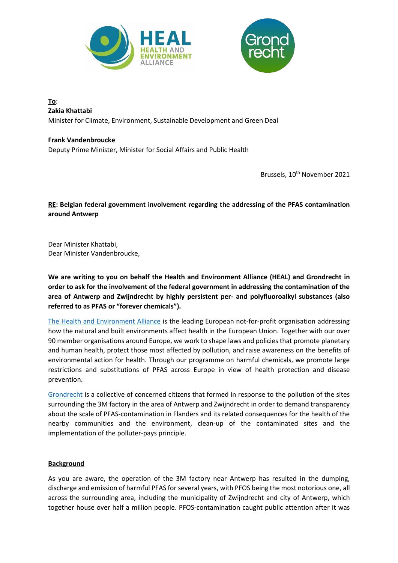



**To**: **Zakia Khattabi**

Minister for Climate, Environment, Sustainable Development and Green Deal

# **Frank Vandenbroucke**

Deputy Prime Minister, Minister for Social Affairs and Public Health

Brussels, 10<sup>th</sup> November 2021

# **RE: Belgian federal government involvement regarding the addressing of the PFAS contamination around Antwerp**

Dear Minister Khattabi, Dear Minister Vandenbroucke,

**We are writing to you on behalf the Health and Environment Alliance (HEAL) and Grondrecht in order to ask for the involvement of the federal government in addressing the contamination of the area of Antwerp and Zwijndrecht by highly persistent per- and polyfluoroalkyl substances (also referred to as PFAS or "forever chemicals").**

[The Health and Environment Alliance](https://www.env-health.org/) is the leading European not-for-profit organisation addressing how the natural and built environments affect health in the European Union. Together with our over 90 member organisations around Europe, we work to shape laws and policies that promote planetary and human health, protect those most affected by pollution, and raise awareness on the benefits of environmental action for health. Through our programme on harmful chemicals, we promote large restrictions and substitutions of PFAS across Europe in view of health protection and disease prevention.

[Grondrecht](https://grondrecht.eu/) is a collective of concerned citizens that formed in response to the pollution of the sites surrounding the 3M factory in the area of Antwerp and Zwijndrecht in order to demand transparency about the scale of PFAS-contamination in Flanders and its related consequences for the health of the nearby communities and the environment, clean-up of the contaminated sites and the implementation of the polluter-pays principle.

### **Background**

As you are aware, the operation of the 3M factory near Antwerp has resulted in the dumping, discharge and emission of harmful PFAS for several years, with PFOS being the most notorious one, all across the surrounding area, including the municipality of Zwijndrecht and city of Antwerp, which together house over half a million people. PFOS-contamination caught public attention after it was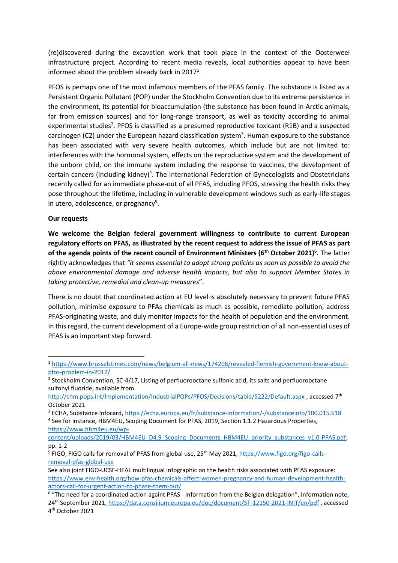(re)discovered during the excavation work that took place in the context of the Oosterweel infrastructure project. According to recent media reveals, local authorities appear to have been informed about the problem already back in 2017<sup>1</sup>.

PFOS is perhaps one of the most infamous members of the PFAS family. The substance is listed as a Persistent Organic Pollutant (POP) under the Stockholm Convention due to its extreme persistence in the environment, its potential for bioaccumulation (the substance has been found in Arctic animals, far from emission sources) and for long-range transport, as well as toxicity according to animal experimental studies<sup>2</sup>. PFOS is classified as a presumed reproductive toxicant (R1B) and a suspected carcinogen (C2) under the European hazard classification system<sup>3</sup>. Human exposure to the substance has been associated with very severe health outcomes, which include but are not limited to: interferences with the hormonal system, effects on the reproductive system and the development of the unborn child, on the immune system including the response to vaccines, the development of certain cancers (including kidney)<sup>4</sup>. The International Federation of Gynecologists and Obstetricians recently called for an immediate phase-out of all PFAS, including PFOS, stressing the health risks they pose throughout the lifetime, including in vulnerable development windows such as early-life stages in utero, adolescence, or pregnancy<sup>5</sup>.

### **Our requests**

**We welcome the Belgian federal government willingness to contribute to current European regulatory efforts on PFAS, as illustrated by the recent request to address the issue of PFAS as part of the agenda points of the recent council of Environment Ministers (6th October 2021)<sup>6</sup> .** The latter rightly acknowledges that *"it seems essential to adopt strong policies as soon as possible to avoid the above environmental damage and adverse health impacts, but also to support Member States in taking protective, remedial and clean-up measures*".

There is no doubt that coordinated action at EU level is absolutely necessary to prevent future PFAS pollution, minimise exposure to PFAs chemicals as much as possible, remediate pollution, address PFAS-originating waste, and duly monitor impacts for the health of population and the environment. In this regard, the current development of a Europe-wide group restriction of all non-essential uses of PFAS is an important step forward.

<sup>1</sup> [https://www.brusselstimes.com/news/belgium-all-news/174208/revealed-flemish-government-knew-about](https://www.brusselstimes.com/news/belgium-all-news/174208/revealed-flemish-government-knew-about-pfos-problem-in-2017/)[pfos-problem-in-2017/](https://www.brusselstimes.com/news/belgium-all-news/174208/revealed-flemish-government-knew-about-pfos-problem-in-2017/)

<sup>&</sup>lt;sup>2</sup> Stockholm Convention, SC-4/17, Listing of perfluorooctane sulfonic acid, its salts and perfluorooctane sulfonyl fluoride, available from

<http://chm.pops.int/Implementation/IndustrialPOPs/PFOS/Decisions/tabid/5222/Default.aspx> , accessed 7th October 2021

<sup>3</sup> ECHA, Substance Infocard,<https://echa.europa.eu/fr/substance-information/-/substanceinfo/100.015.618>

<sup>4</sup> See for instance, HBM4EU, Scoping Document for PFAS, 2019, Section 1.1.2 Hazardous Properties, [https://www.hbm4eu.eu/wp-](https://www.hbm4eu.eu/wp-content/uploads/2019/03/HBM4EU_D4.9_Scoping_Documents_HBM4EU_priority_substances_v1.0-PFAS.pdf)

[content/uploads/2019/03/HBM4EU\\_D4.9\\_Scoping\\_Documents\\_HBM4EU\\_priority\\_substances\\_v1.0-PFAS.pdf;](https://www.hbm4eu.eu/wp-content/uploads/2019/03/HBM4EU_D4.9_Scoping_Documents_HBM4EU_priority_substances_v1.0-PFAS.pdf) pp. 1-2

<sup>&</sup>lt;sup>5</sup> FIGO, FIGO calls for removal of PFAS from global use, 25<sup>th</sup> May 2021, [https://www.figo.org/figo-calls](https://www.figo.org/figo-calls-removal-pfas-global-use)[removal-pfas-global-use](https://www.figo.org/figo-calls-removal-pfas-global-use)

See also joint FIGO-UCSF-HEAL multilingual infographic on the health risks associated with PFAS exposure: [https://www.env-health.org/how-pfas-chemicals-affect-women-pregnancy-and-human-development-health](https://www.env-health.org/how-pfas-chemicals-affect-women-pregnancy-and-human-development-health-actors-call-for-urgent-action-to-phase-them-out/)[actors-call-for-urgent-action-to-phase-them-out/](https://www.env-health.org/how-pfas-chemicals-affect-women-pregnancy-and-human-development-health-actors-call-for-urgent-action-to-phase-them-out/)

<sup>&</sup>lt;sup>6</sup> "The need for a coordinated action againt PFAS - Information from the Belgian delegation", Information note, 24th September 2021,<https://data.consilium.europa.eu/doc/document/ST-12150-2021-INIT/en/pdf> , accessed 4 th October 2021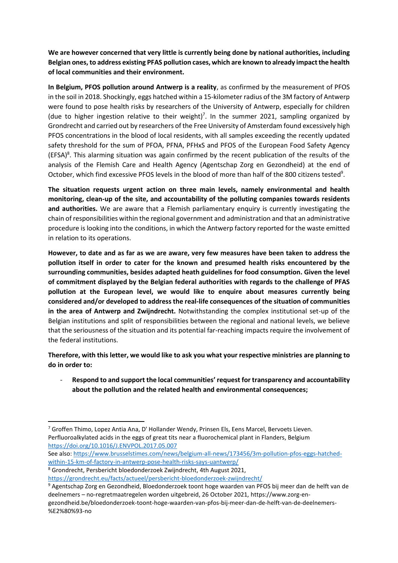**We are however concerned that very little is currently being done by national authorities, including Belgian ones,to address existing PFAS pollution cases, which are known to already impact the health of local communities and their environment.**

**In Belgium, PFOS pollution around Antwerp is a reality**, as confirmed by the measurement of PFOS in the soil in 2018. Shockingly, eggs hatched within a 15-kilometer radius of the 3M factory of Antwerp were found to pose health risks by researchers of the University of Antwerp, especially for children (due to higher ingestion relative to their weight)<sup>7</sup>. In the summer 2021, sampling organized by Grondrecht and carried out by researchers of the Free University of Amsterdam found excessively high PFOS concentrations in the blood of local residents, with all samples exceeding the recently updated safety threshold for the sum of PFOA, PFNA, PFHxS and PFOS of the European Food Safety Agency (EFSA)<sup>8</sup>. This alarming situation was again confirmed by the recent publication of the results of the analysis of the Flemish Care and Health Agency (Agentschap Zorg en Gezondheid) at the end of October, which find excessive PFOS levels in the blood of more than half of the 800 citizens tested<sup>9</sup>.

**The situation requests urgent action on three main levels, namely environmental and health monitoring, clean-up of the site, and accountability of the polluting companies towards residents and authorities.** We are aware that a Flemish parliamentary enquiry is currently investigating the chain of responsibilities within the regional government and administration and that an administrative procedure is looking into the conditions, in which the Antwerp factory reported for the waste emitted in relation to its operations.

**However, to date and as far as we are aware, very few measures have been taken to address the pollution itself in order to cater for the known and presumed health risks encountered by the surrounding communities, besides adapted heath guidelines for food consumption. Given the level of commitment displayed by the Belgian federal authorities with regards to the challenge of PFAS pollution at the European level, we would like to enquire about measures currently being considered and/or developed to address the real-life consequences of the situation of communities in the area of Antwerp and Zwijndrecht.** Notwithstanding the complex institutional set-up of the Belgian institutions and split of responsibilities between the regional and national levels, we believe that the seriousness of the situation and its potential far-reaching impacts require the involvement of the federal institutions.

**Therefore, with this letter, we would like to ask you what your respective ministries are planning to do in order to:**

- **Respond to and support the local communities' request for transparency and accountability about the pollution and the related health and environmental consequences;**

<sup>7</sup> Groffen Thimo, Lopez Antia Ana, D' Hollander Wendy, Prinsen Els, Eens Marcel, Bervoets Lieven. Perfluoroalkylated acids in the eggs of great tits near a fluorochemical plant in Flanders, Belgium <https://doi.org/10.1016/J.ENVPOL.2017.05.007>

- See also: [https://www.brusselstimes.com/news/belgium-all-news/173456/3m-pollution-pfos-eggs-hatched](https://www.brusselstimes.com/news/belgium-all-news/173456/3m-pollution-pfos-eggs-hatched-within-15-km-of-factory-in-antwerp-pose-health-risks-says-uantwerp/)[within-15-km-of-factory-in-antwerp-pose-health-risks-says-uantwerp/](https://www.brusselstimes.com/news/belgium-all-news/173456/3m-pollution-pfos-eggs-hatched-within-15-km-of-factory-in-antwerp-pose-health-risks-says-uantwerp/)
- <sup>8</sup> Grondrecht, Persbericht bloedonderzoek Zwijndrecht, 4th August 2021,

<https://grondrecht.eu/facts/actueel/persbericht-bloedonderzoek-zwijndrecht/>

<sup>9</sup> Agentschap Zorg en Gezondheid, Bloedonderzoek toont hoge waarden van PFOS bij meer dan de helft van de deelnemers – no-regretmaatregelen worden uitgebreid, 26 October 2021, https://www.zorg-engezondheid.be/bloedonderzoek-toont-hoge-waarden-van-pfos-bij-meer-dan-de-helft-van-de-deelnemers- %E2%80%93-no